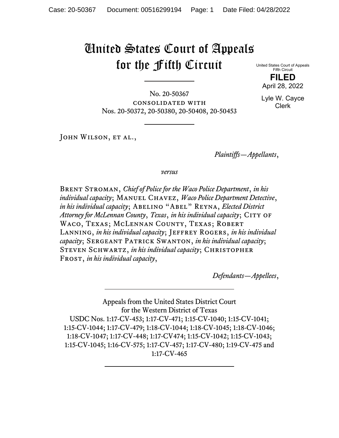# United States Court of Appeals for the Fifth Circuit

United States Court of Appeals Fifth Circuit **FILED**

April 28, 2022

Lyle W. Cayce Clerk

No. 20-50367 consolidated with Nos. 20-50372, 20-50380, 20-50408, 20-50453

JOHN WILSON, ET AL.,

*Plaintiffs—Appellants*,

*versus*

Brent Stroman, *Chief of Police for the Waco Police Department*, *in his individual capacity*; Manuel Chavez, *Waco Police Department Detective*, *in his individual capacity*; ABELINO "ABEL" REYNA, *Elected District Attorney for McLennan County, Texas, in his individual capacity*; CITY OF Waco, Texas; McLennan County, Texas; Robert LANNING, *in his individual capacity*; JEFFREY ROGERS, *in his individual capacity*; Sergeant Patrick Swanton, *in his individual capacity*; STEVEN SCHWARTZ, *in his individual capacity*; CHRISTOPHER Frost, *in his individual capacity*,

*Defendants—Appellees*,

Appeals from the United States District Court for the Western District of Texas USDC Nos. 1:17-CV-453; 1:17-CV-471; 1:15-CV-1040; 1:15-CV-1041; 1:15-CV-1044; 1:17-CV-479; 1:18-CV-1044; 1:18-CV-1045; 1:18-CV-1046; 1:18-CV-1047; 1:17-CV-448; 1:17-CV474; 1:15-CV-1042; 1:15-CV-1043; 1:15-CV-1045; 1:16-CV-575; 1:17-CV-457; 1:17-CV-480; 1:19-CV-475 and 1:17-CV-465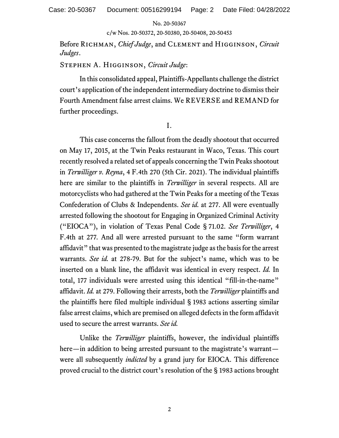c/w Nos. 20-50372, 20-50380, 20-50408, 20-50453

Before Richman, *Chief Judge*, and Clement and Higginson, *Circuit Judges*.

Stephen A. Higginson, *Circuit Judge*:

In this consolidated appeal, Plaintiffs-Appellants challenge the district court's application of the independent intermediary doctrine to dismiss their Fourth Amendment false arrest claims. We REVERSE and REMAND for further proceedings.

I.

This case concerns the fallout from the deadly shootout that occurred on May 17, 2015, at the Twin Peaks restaurant in Waco, Texas. This court recently resolved a related set of appeals concerning the Twin Peaks shootout in *Terwilliger v. Reyna*, 4 F.4th 270 (5th Cir. 2021). The individual plaintiffs here are similar to the plaintiffs in *Terwilliger* in several respects. All are motorcyclists who had gathered at the Twin Peaks for a meeting of the Texas Confederation of Clubs & Independents. *See id.* at 277. All were eventually arrested following the shootout for Engaging in Organized Criminal Activity ("EIOCA"), in violation of Texas Penal Code § 71.02. *See Terwilliger*, 4 F.4th at 277*.* And all were arrested pursuant to the same "form warrant affidavit" that was presented to the magistrate judge as the basis for the arrest warrants. *See id.* at 278-79. But for the subject's name, which was to be inserted on a blank line, the affidavit was identical in every respect. *Id.* In total, 177 individuals were arrested using this identical "fill-in-the-name" affidavit. *Id.* at 279. Following their arrests, both the *Terwilliger* plaintiffs and the plaintiffs here filed multiple individual § 1983 actions asserting similar false arrest claims, which are premised on alleged defects in the form affidavit used to secure the arrest warrants. *See id.*

Unlike the *Terwilliger* plaintiffs, however, the individual plaintiffs here—in addition to being arrested pursuant to the magistrate's warrant were all subsequently *indicted* by a grand jury for EIOCA. This difference proved crucial to the district court's resolution of the § 1983 actions brought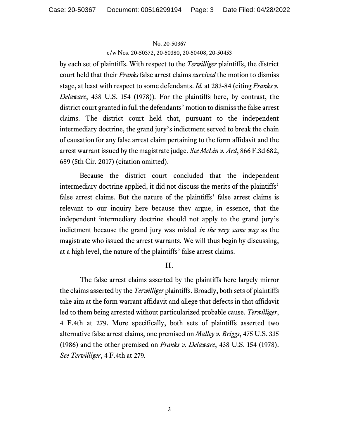c/w Nos. 20-50372, 20-50380, 20-50408, 20-50453

by each set of plaintiffs. With respect to the *Terwilliger* plaintiffs, the district court held that their *Franks* false arrest claims *survived* the motion to dismiss stage, at least with respect to some defendants. *Id.* at 283-84 (citing *Franks v. Delaware*, 438 U.S. 154 (1978))*.* For the plaintiffs here, by contrast, the district court granted in full the defendants' motion to dismiss the false arrest claims. The district court held that, pursuant to the independent intermediary doctrine, the grand jury's indictment served to break the chain of causation for any false arrest claim pertaining to the form affidavit and the arrest warrant issued by the magistrate judge. *See McLin v. Ard*, 866 F.3d 682, 689 (5th Cir. 2017) (citation omitted).

Because the district court concluded that the independent intermediary doctrine applied, it did not discuss the merits of the plaintiffs' false arrest claims. But the nature of the plaintiffs' false arrest claims is relevant to our inquiry here because they argue, in essence, that the independent intermediary doctrine should not apply to the grand jury's indictment because the grand jury was misled *in the very same way* as the magistrate who issued the arrest warrants. We will thus begin by discussing, at a high level, the nature of the plaintiffs' false arrest claims.

# II.

The false arrest claims asserted by the plaintiffs here largely mirror the claims asserted by the *Terwilliger* plaintiffs. Broadly, both sets of plaintiffs take aim at the form warrant affidavit and allege that defects in that affidavit led to them being arrested without particularized probable cause. *Terwilliger*, 4 F.4th at 279. More specifically, both sets of plaintiffs asserted two alternative false arrest claims, one premised on *Malley v. Briggs*, 475 U.S. 335 (1986) and the other premised on *Franks v. Delaware*, 438 U.S. 154 (1978). *See Terwilliger*, 4 F.4th at 279*.*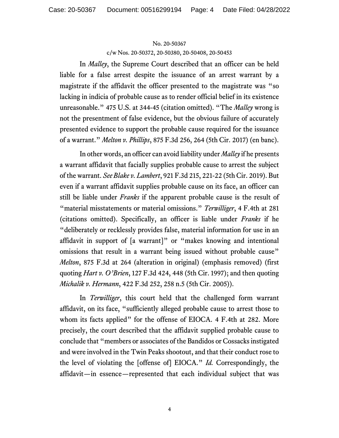c/w Nos. 20-50372, 20-50380, 20-50408, 20-50453

In *Malley*, the Supreme Court described that an officer can be held liable for a false arrest despite the issuance of an arrest warrant by a magistrate if the affidavit the officer presented to the magistrate was "so lacking in indicia of probable cause as to render official belief in its existence unreasonable." 475 U.S. at 344-45 (citation omitted). "The *Malley* wrong is not the presentment of false evidence, but the obvious failure of accurately presented evidence to support the probable cause required for the issuance of a warrant." *Melton v. Phillips*, 875 F.3d 256, 264 (5th Cir. 2017) (en banc).

In other words, an officer can avoid liability under *Malley* if he presents a warrant affidavit that facially supplies probable cause to arrest the subject of the warrant. *See Blake v. Lambert*, 921 F.3d 215, 221-22 (5th Cir. 2019). But even if a warrant affidavit supplies probable cause on its face, an officer can still be liable under *Franks* if the apparent probable cause is the result of "material misstatements or material omissions." *Terwilliger*, 4 F.4th at 281 (citations omitted). Specifically, an officer is liable under *Franks* if he "deliberately or recklessly provides false, material information for use in an affidavit in support of [a warrant]" or "makes knowing and intentional omissions that result in a warrant being issued without probable cause" *Melton*, 875 F.3d at 264 (alteration in original) (emphasis removed) (first quoting *Hart v. O'Brien*, 127 F.3d 424, 448 (5th Cir. 1997); and then quoting *Michalik v. Hermann*, 422 F.3d 252, 258 n.5 (5th Cir. 2005)).

In *Terwilliger*, this court held that the challenged form warrant affidavit, on its face, "sufficiently alleged probable cause to arrest those to whom its facts applied" for the offense of EIOCA. 4 F.4th at 282. More precisely, the court described that the affidavit supplied probable cause to conclude that "members or associates of the Bandidos or Cossacks instigated and were involved in the Twin Peaks shootout, and that their conduct rose to the level of violating the [offense of] EIOCA." *Id.* Correspondingly, the affidavit—in essence—represented that each individual subject that was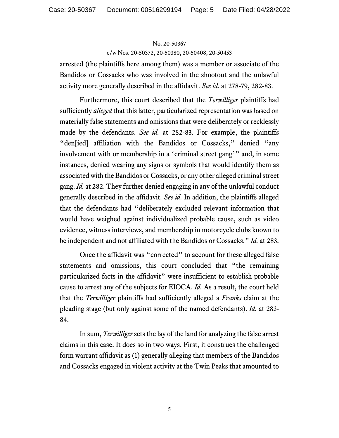c/w Nos. 20-50372, 20-50380, 20-50408, 20-50453

arrested (the plaintiffs here among them) was a member or associate of the Bandidos or Cossacks who was involved in the shootout and the unlawful activity more generally described in the affidavit. *See id.* at 278-79, 282-83.

Furthermore, this court described that the *Terwilliger* plaintiffs had sufficiently *alleged* that this latter, particularized representation was based on materially false statements and omissions that were deliberately or recklessly made by the defendants. *See id.* at 282-83. For example, the plaintiffs "den[ied] affiliation with the Bandidos or Cossacks," denied "any involvement with or membership in a 'criminal street gang'" and, in some instances, denied wearing any signs or symbols that would identify them as associated with the Bandidos or Cossacks, or any other alleged criminal street gang. *Id.* at 282. They further denied engaging in any of the unlawful conduct generally described in the affidavit. *See id.* In addition, the plaintiffs alleged that the defendants had "deliberately excluded relevant information that would have weighed against individualized probable cause, such as video evidence, witness interviews, and membership in motorcycle clubs known to be independent and not affiliated with the Bandidos or Cossacks." *Id.* at 283.

Once the affidavit was "corrected" to account for these alleged false statements and omissions, this court concluded that "the remaining particularized facts in the affidavit" were insufficient to establish probable cause to arrest any of the subjects for EIOCA. *Id.* As a result, the court held that the *Terwilliger* plaintiffs had sufficiently alleged a *Franks* claim at the pleading stage (but only against some of the named defendants). *Id.* at 283- 84.

In sum, *Terwilliger* sets the lay of the land for analyzing the false arrest claims in this case. It does so in two ways. First, it construes the challenged form warrant affidavit as (1) generally alleging that members of the Bandidos and Cossacks engaged in violent activity at the Twin Peaks that amounted to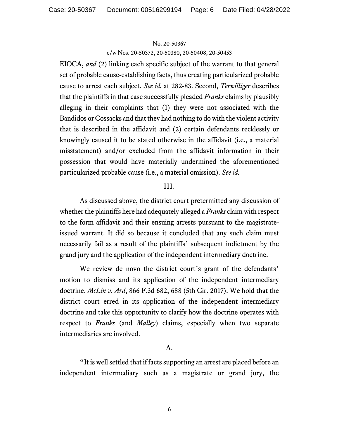c/w Nos. 20-50372, 20-50380, 20-50408, 20-50453

EIOCA, *and* (2) linking each specific subject of the warrant to that general set of probable cause-establishing facts, thus creating particularized probable cause to arrest each subject. *See id.* at 282-83. Second, *Terwilliger* describes that the plaintiffs in that case successfully pleaded *Franks* claims by plausibly alleging in their complaints that (1) they were not associated with the Bandidos or Cossacks and that they had nothing to do with the violent activity that is described in the affidavit and (2) certain defendants recklessly or knowingly caused it to be stated otherwise in the affidavit (i.e., a material misstatement) and/or excluded from the affidavit information in their possession that would have materially undermined the aforementioned particularized probable cause (i.e., a material omission). *See id.*

# III.

As discussed above, the district court pretermitted any discussion of whether the plaintiffs here had adequately alleged a *Franks* claim with respect to the form affidavit and their ensuing arrests pursuant to the magistrateissued warrant. It did so because it concluded that any such claim must necessarily fail as a result of the plaintiffs' subsequent indictment by the grand jury and the application of the independent intermediary doctrine.

We review de novo the district court's grant of the defendants' motion to dismiss and its application of the independent intermediary doctrine. *McLin v. Ard*, 866 F.3d 682, 688 (5th Cir. 2017). We hold that the district court erred in its application of the independent intermediary doctrine and take this opportunity to clarify how the doctrine operates with respect to *Franks* (and *Malley*) claims, especially when two separate intermediaries are involved.

# A.

"It is well settled that if facts supporting an arrest are placed before an independent intermediary such as a magistrate or grand jury, the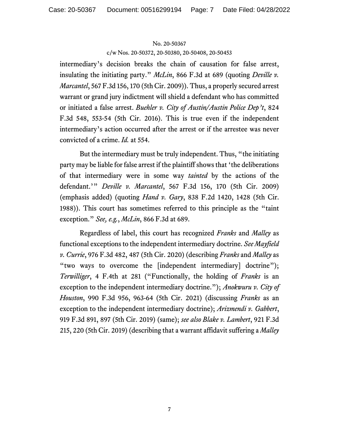c/w Nos. 20-50372, 20-50380, 20-50408, 20-50453

intermediary's decision breaks the chain of causation for false arrest, insulating the initiating party." *McLin*, 866 F.3d at 689 (quoting *Deville v. Marcantel*, 567 F.3d 156, 170 (5th Cir. 2009)). Thus, a properly secured arrest warrant or grand jury indictment will shield a defendant who has committed or initiated a false arrest. *Buehler v. City of Austin/Austin Police Dep't*, 824 F.3d 548, 553-54 (5th Cir. 2016). This is true even if the independent intermediary's action occurred after the arrest or if the arrestee was never convicted of a crime. *Id.* at 554.

But the intermediary must be truly independent. Thus, "the initiating party may be liable for false arrest if the plaintiff shows that 'the deliberations of that intermediary were in some way *tainted* by the actions of the defendant.'" *Deville v. Marcantel*, 567 F.3d 156, 170 (5th Cir. 2009) (emphasis added) (quoting *Hand v. Gary*, 838 F.2d 1420, 1428 (5th Cir. 1988)). This court has sometimes referred to this principle as the "taint exception." *See, e.g.*, *McLin*, 866 F.3d at 689.

Regardless of label, this court has recognized *Franks* and *Malley* as functional exceptions to the independent intermediary doctrine. *See Mayfield v. Currie*, 976 F.3d 482, 487 (5th Cir. 2020) (describing *Franks* and *Malley* as "two ways to overcome the [independent intermediary] doctrine"); *Terwilliger*, 4 F.4th at 281 ("Functionally, the holding of *Franks* is an exception to the independent intermediary doctrine."); *Anokwuru v. City of Houston*, 990 F.3d 956, 963-64 (5th Cir. 2021) (discussing *Franks* as an exception to the independent intermediary doctrine); *Arizmendi v. Gabbert*, 919 F.3d 891, 897 (5th Cir. 2019) (same); *see also Blake v. Lambert*, 921 F.3d 215, 220 (5th Cir. 2019) (describing that a warrant affidavit suffering a *Malley*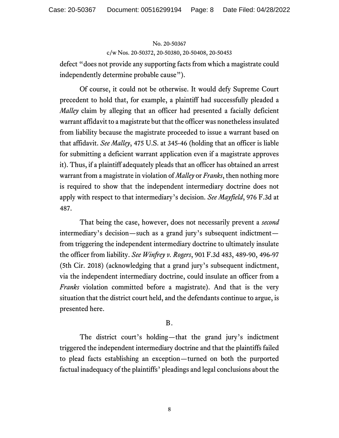#### c/w Nos. 20-50372, 20-50380, 20-50408, 20-50453

defect "does not provide any supporting facts from which a magistrate could independently determine probable cause").

Of course, it could not be otherwise. It would defy Supreme Court precedent to hold that, for example, a plaintiff had successfully pleaded a *Malley* claim by alleging that an officer had presented a facially deficient warrant affidavit to a magistrate but that the officer was nonetheless insulated from liability because the magistrate proceeded to issue a warrant based on that affidavit. *See Malley*, 475 U.S. at 345-46 (holding that an officer is liable for submitting a deficient warrant application even if a magistrate approves it). Thus, if a plaintiff adequately pleads that an officer has obtained an arrest warrant from a magistrate in violation of *Malley* or *Franks*, then nothing more is required to show that the independent intermediary doctrine does not apply with respect to that intermediary's decision. *See Mayfield*, 976 F.3d at 487.

That being the case, however, does not necessarily prevent a *second* intermediary's decision—such as a grand jury's subsequent indictment from triggering the independent intermediary doctrine to ultimately insulate the officer from liability. *See Winfrey v. Rogers*, 901 F.3d 483, 489-90, 496-97 (5th Cir. 2018) (acknowledging that a grand jury's subsequent indictment, via the independent intermediary doctrine, could insulate an officer from a *Franks* violation committed before a magistrate). And that is the very situation that the district court held, and the defendants continue to argue, is presented here.

# B.

The district court's holding—that the grand jury's indictment triggered the independent intermediary doctrine and that the plaintiffs failed to plead facts establishing an exception—turned on both the purported factual inadequacy of the plaintiffs' pleadings and legal conclusions about the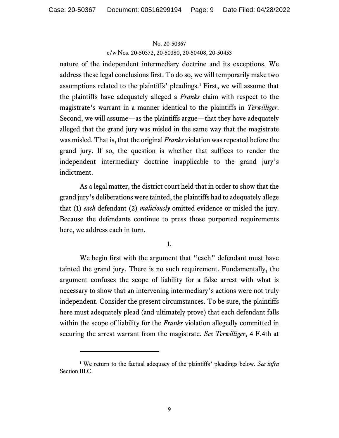c/w Nos. 20-50372, 20-50380, 20-50408, 20-50453

nature of the independent intermediary doctrine and its exceptions. We address these legal conclusions first. To do so, we will temporarily make two assumptions related to the plaintiffs' pleadings.[1](#page-8-0) First, we will assume that the plaintiffs have adequately alleged a *Franks* claim with respect to the magistrate's warrant in a manner identical to the plaintiffs in *Terwilliger*. Second, we will assume—as the plaintiffs argue—that they have adequately alleged that the grand jury was misled in the same way that the magistrate was misled. That is, that the original *Franks* violation was repeated before the grand jury. If so, the question is whether that suffices to render the independent intermediary doctrine inapplicable to the grand jury's indictment.

As a legal matter, the district court held that in order to show that the grand jury's deliberations were tainted, the plaintiffs had to adequately allege that (1) *each* defendant (2) *maliciously* omitted evidence or misled the jury. Because the defendants continue to press those purported requirements here, we address each in turn.

1.

We begin first with the argument that "each" defendant must have tainted the grand jury. There is no such requirement. Fundamentally, the argument confuses the scope of liability for a false arrest with what is necessary to show that an intervening intermediary's actions were not truly independent. Consider the present circumstances. To be sure, the plaintiffs here must adequately plead (and ultimately prove) that each defendant falls within the scope of liability for the *Franks* violation allegedly committed in securing the arrest warrant from the magistrate. *See Terwilliger*, 4 F.4th at

<span id="page-8-0"></span><sup>1</sup> We return to the factual adequacy of the plaintiffs' pleadings below. *See infra*  Section III.C.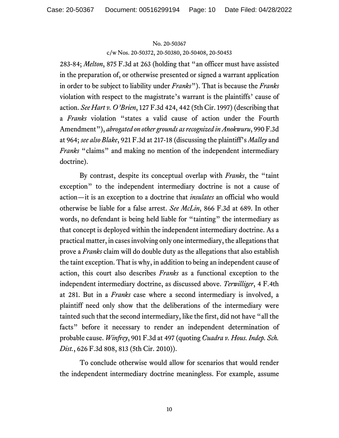c/w Nos. 20-50372, 20-50380, 20-50408, 20-50453

283-84; *Melton*, 875 F.3d at 263 (holding that "an officer must have assisted in the preparation of, or otherwise presented or signed a warrant application in order to be subject to liability under *Franks*"). That is because the *Franks*  violation with respect to the magistrate's warrant is the plaintiffs' cause of action. *See Hart v. O'Brien*, 127 F.3d 424, 442 (5th Cir. 1997) (describing that a *Franks* violation "states a valid cause of action under the Fourth Amendment"), *abrogated on other grounds as recognized in Anokwuru*, 990 F.3d at 964; *see also Blake*, 921 F.3d at 217-18 (discussing the plaintiff's *Malley* and *Franks* "claims" and making no mention of the independent intermediary doctrine).

By contrast, despite its conceptual overlap with *Franks*, the "taint exception" to the independent intermediary doctrine is not a cause of action—it is an exception to a doctrine that *insulates* an official who would otherwise be liable for a false arrest. *See McLin*, 866 F.3d at 689. In other words, no defendant is being held liable for "tainting" the intermediary as that concept is deployed within the independent intermediary doctrine. As a practical matter, in cases involving only one intermediary, the allegations that prove a *Franks* claim will do double duty as the allegations that also establish the taint exception. That is why, in addition to being an independent cause of action, this court also describes *Franks* as a functional exception to the independent intermediary doctrine, as discussed above. *Terwilliger*, 4 F.4th at 281. But in a *Franks* case where a second intermediary is involved, a plaintiff need only show that the deliberations of the intermediary were tainted such that the second intermediary, like the first, did not have "all the facts" before it necessary to render an independent determination of probable cause. *Winfrey*, 901 F.3d at 497 (quoting *Cuadra v. Hous. Indep. Sch. Dist.*, 626 F.3d 808, 813 (5th Cir. 2010)).

To conclude otherwise would allow for scenarios that would render the independent intermediary doctrine meaningless. For example, assume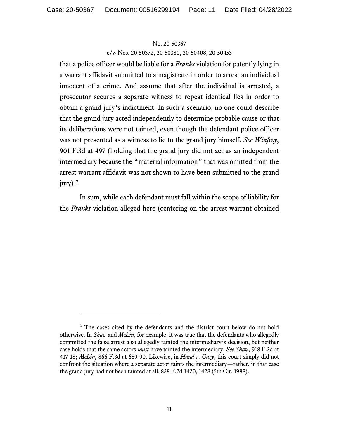c/w Nos. 20-50372, 20-50380, 20-50408, 20-50453

that a police officer would be liable for a *Franks* violation for patently lying in a warrant affidavit submitted to a magistrate in order to arrest an individual innocent of a crime. And assume that after the individual is arrested, a prosecutor secures a separate witness to repeat identical lies in order to obtain a grand jury's indictment. In such a scenario, no one could describe that the grand jury acted independently to determine probable cause or that its deliberations were not tainted, even though the defendant police officer was not presented as a witness to lie to the grand jury himself. *See Winfrey*, 901 F.3d at 497 (holding that the grand jury did not act as an independent intermediary because the "material information" that was omitted from the arrest warrant affidavit was not shown to have been submitted to the grand jury). [2](#page-10-0)

In sum, while each defendant must fall within the scope of liability for the *Franks* violation alleged here (centering on the arrest warrant obtained

<span id="page-10-0"></span><sup>&</sup>lt;sup>2</sup> The cases cited by the defendants and the district court below do not hold otherwise. In *Shaw* and *McLin*, for example, it was true that the defendants who allegedly committed the false arrest also allegedly tainted the intermediary's decision, but neither case holds that the same actors *must* have tainted the intermediary. *See Shaw*, 918 F.3d at 417-18; *McLin*, 866 F.3d at 689-90. Likewise, in *Hand v. Gary*, this court simply did not confront the situation where a separate actor taints the intermediary—rather, in that case the grand jury had not been tainted at all. 838 F.2d 1420, 1428 (5th Cir. 1988).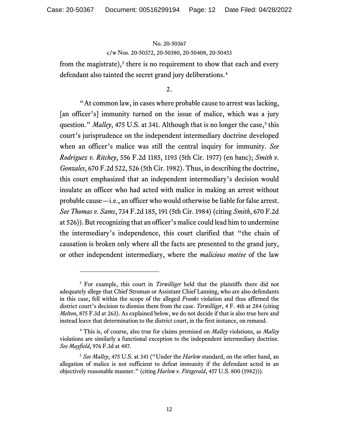c/w Nos. 20-50372, 20-50380, 20-50408, 20-50453

from the magistrate), $3$  there is no requirement to show that each and every defendant also tainted the secret grand jury deliberations.<sup>[4](#page-11-1)</sup>

2.

"At common law, in cases where probable cause to arrest was lacking, [an officer's] immunity turned on the issue of malice, which was a jury question." *Malley*, 47[5](#page-11-2) U.S. at 341. Although that is no longer the case,<sup>5</sup> this court's jurisprudence on the independent intermediary doctrine developed when an officer's malice was still the central inquiry for immunity. *See Rodriguez v. Ritchey*, 556 F.2d 1185, 1193 (5th Cir. 1977) (en banc); *Smith v. Gonzales*, 670 F.2d 522, 526 (5th Cir. 1982). Thus, in describing the doctrine, this court emphasized that an independent intermediary's decision would insulate an officer who had acted with malice in making an arrest without probable cause—i.e., an officer who would otherwise be liable for false arrest. *See Thomas v. Sams*, 734 F.2d 185, 191 (5th Cir. 1984) (citing *Smith*, 670 F.2d at 526)). But recognizing that an officer's malice could lead him to undermine the intermediary's independence, this court clarified that "the chain of causation is broken only where all the facts are presented to the grand jury, or other independent intermediary, where the *malicious motive* of the law

<span id="page-11-0"></span><sup>3</sup> For example, this court in *Terwilliger* held that the plaintiffs there did not adequately allege that Chief Stroman or Assistant Chief Lanning, who are also defendants in this case, fell within the scope of the alleged *Franks* violation and thus affirmed the district court's decision to dismiss them from the case. *Terwilliger*, 4 F. 4th at 284 (citing *Melton*, 875 F.3d at 263). As explained below, we do not decide if that is also true here and instead leave that determination to the district court, in the first instance, on remand.

<span id="page-11-1"></span><sup>4</sup> This is, of course, also true for claims premised on *Malley* violations, as *Malley* violations are similarly a functional exception to the independent intermediary doctrine. *See Mayfield*, 976 F.3d at 487.

<span id="page-11-2"></span><sup>5</sup> *See Malley*, 475 U.S. at 341 ("Under the *Harlow* standard, on the other hand, an allegation of malice is not sufficient to defeat immunity if the defendant acted in an objectively reasonable manner." (citing *Harlow v. Fitzgerald*, 457 U.S. 800 (1982))).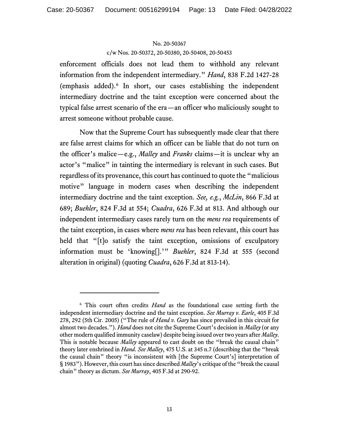c/w Nos. 20-50372, 20-50380, 20-50408, 20-50453

enforcement officials does not lead them to withhold any relevant information from the independent intermediary." *Hand*, 838 F.2d 1427-28 (emphasis added).[6](#page-12-0) In short, our cases establishing the independent intermediary doctrine and the taint exception were concerned about the typical false arrest scenario of the era—an officer who maliciously sought to arrest someone without probable cause.

Now that the Supreme Court has subsequently made clear that there are false arrest claims for which an officer can be liable that do not turn on the officer's malice—e.g., *Malley* and *Franks* claims—it is unclear why an actor's "malice" in tainting the intermediary is relevant in such cases. But regardless of its provenance, this court has continued to quote the "malicious motive" language in modern cases when describing the independent intermediary doctrine and the taint exception. *See, e.g.*, *McLin*, 866 F.3d at 689; *Buehler*, 824 F.3d at 554; *Cuadra*, 626 F.3d at 813. And although our independent intermediary cases rarely turn on the *mens rea* requirements of the taint exception, in cases where *mens rea* has been relevant, this court has held that "[t]o satisfy the taint exception, omissions of exculpatory information must be 'knowing[].'" *Buehler*, 824 F.3d at 555 (second alteration in original) (quoting *Cuadra*, 626 F.3d at 813-14).

<span id="page-12-0"></span><sup>6</sup> This court often credits *Hand* as the foundational case setting forth the independent intermediary doctrine and the taint exception. *See Murray v. Earle*, 405 F.3d 278, 292 (5th Cir. 2005) ("The rule of *Hand v. Gary* has since prevailed in this circuit for almost two decades."). *Hand* does not cite the Supreme Court's decision in *Malley* (or any other modern qualified immunity caselaw) despite being issued over two years after *Malley*. This is notable because *Malley* appeared to cast doubt on the "break the causal chain" theory later enshrined in *Hand*. *See Malley*, 475 U.S. at 345 n.7 (describing that the "break the causal chain" theory "is inconsistent with [the Supreme Court's] interpretation of § 1983"). However, this court has since described *Malley*'s critique of the "break the causal chain" theory as dictum. *See Murray*, 405 F.3d at 290-92.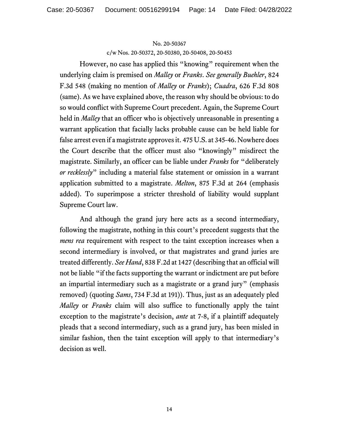c/w Nos. 20-50372, 20-50380, 20-50408, 20-50453

However, no case has applied this "knowing" requirement when the underlying claim is premised on *Malley* or *Franks*. *See generally Buehler*, 824 F.3d 548 (making no mention of *Malley* or *Franks*); *Cuadra*, 626 F.3d 808 (same). As we have explained above, the reason why should be obvious: to do so would conflict with Supreme Court precedent. Again, the Supreme Court held in *Malley* that an officer who is objectively unreasonable in presenting a warrant application that facially lacks probable cause can be held liable for false arrest even if a magistrate approves it. 475 U.S. at 345-46. Nowhere does the Court describe that the officer must also "knowingly" misdirect the magistrate. Similarly, an officer can be liable under *Franks* for "deliberately *or recklessly*" including a material false statement or omission in a warrant application submitted to a magistrate. *Melton*, 875 F.3d at 264 (emphasis added). To superimpose a stricter threshold of liability would supplant Supreme Court law.

And although the grand jury here acts as a second intermediary, following the magistrate, nothing in this court's precedent suggests that the *mens rea* requirement with respect to the taint exception increases when a second intermediary is involved, or that magistrates and grand juries are treated differently. *See Hand*, 838 F.2d at 1427 (describing that an official will not be liable "if the facts supporting the warrant or indictment are put before an impartial intermediary such as a magistrate or a grand jury" (emphasis removed) (quoting *Sams*, 734 F.3d at 191)). Thus, just as an adequately pled *Malley* or *Franks* claim will also suffice to functionally apply the taint exception to the magistrate's decision, *ante* at 7-8, if a plaintiff adequately pleads that a second intermediary, such as a grand jury, has been misled in similar fashion, then the taint exception will apply to that intermediary's decision as well.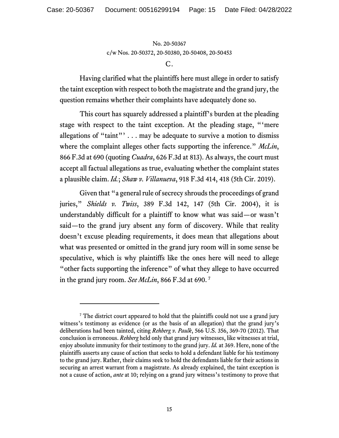No. 20-50367 c/w Nos. 20-50372, 20-50380, 20-50408, 20-50453

Having clarified what the plaintiffs here must allege in order to satisfy the taint exception with respect to both the magistrate and the grand jury, the question remains whether their complaints have adequately done so.

This court has squarely addressed a plaintiff's burden at the pleading stage with respect to the taint exception. At the pleading stage, "'mere allegations of "taint"'  $\dots$  may be adequate to survive a motion to dismiss where the complaint alleges other facts supporting the inference." *McLin*, 866 F.3d at 690 (quoting *Cuadra*, 626 F.3d at 813). As always, the court must accept all factual allegations as true, evaluating whether the complaint states a plausible claim. *Id.*; *Shaw v. Villanueva*, 918 F.3d 414, 418 (5th Cir. 2019).

Given that "a general rule of secrecy shrouds the proceedings of grand juries," *Shields v. Twiss*, 389 F.3d 142, 147 (5th Cir. 2004), it is understandably difficult for a plaintiff to know what was said—or wasn't said—to the grand jury absent any form of discovery. While that reality doesn't excuse pleading requirements, it does mean that allegations about what was presented or omitted in the grand jury room will in some sense be speculative, which is why plaintiffs like the ones here will need to allege "other facts supporting the inference" of what they allege to have occurred in the grand jury room. *See McLin*, 866 F.3d at 690. [7](#page-14-0)

 $C<sub>1</sub>$ 

<span id="page-14-0"></span><sup>&</sup>lt;sup>7</sup> The district court appeared to hold that the plaintiffs could not use a grand jury witness's testimony as evidence (or as the basis of an allegation) that the grand jury's deliberations had been tainted, citing *Rehberg v. Paulk*, 566 U.S. 356, 369-70 (2012). That conclusion is erroneous. *Rehberg* held only that grand jury witnesses, like witnesses at trial, enjoy absolute immunity for their testimony to the grand jury. *Id.* at 369. Here, none of the plaintiffs asserts any cause of action that seeks to hold a defendant liable for his testimony to the grand jury. Rather, their claims seek to hold the defendants liable for their actions in securing an arrest warrant from a magistrate. As already explained, the taint exception is not a cause of action, *ante* at 10; relying on a grand jury witness's testimony to prove that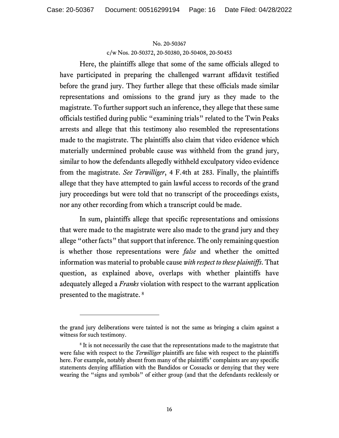c/w Nos. 20-50372, 20-50380, 20-50408, 20-50453

Here, the plaintiffs allege that some of the same officials alleged to have participated in preparing the challenged warrant affidavit testified before the grand jury. They further allege that these officials made similar representations and omissions to the grand jury as they made to the magistrate. To further support such an inference, they allege that these same officials testified during public "examining trials" related to the Twin Peaks arrests and allege that this testimony also resembled the representations made to the magistrate. The plaintiffs also claim that video evidence which materially undermined probable cause was withheld from the grand jury, similar to how the defendants allegedly withheld exculpatory video evidence from the magistrate. *See Terwilliger*, 4 F.4th at 283. Finally, the plaintiffs allege that they have attempted to gain lawful access to records of the grand jury proceedings but were told that no transcript of the proceedings exists, nor any other recording from which a transcript could be made.

In sum, plaintiffs allege that specific representations and omissions that were made to the magistrate were also made to the grand jury and they allege "other facts" that support that inference. The only remaining question is whether those representations were *false* and whether the omitted information was material to probable cause *with respect to these plaintiffs*. That question, as explained above, overlaps with whether plaintiffs have adequately alleged a *Franks* violation with respect to the warrant application presented to the magistrate. [8](#page-15-0)

the grand jury deliberations were tainted is not the same as bringing a claim against a witness for such testimony.

<span id="page-15-0"></span><sup>&</sup>lt;sup>8</sup> It is not necessarily the case that the representations made to the magistrate that were false with respect to the *Terwilliger* plaintiffs are false with respect to the plaintiffs here. For example, notably absent from many of the plaintiffs' complaints are any specific statements denying affiliation with the Bandidos or Cossacks or denying that they were wearing the "signs and symbols" of either group (and that the defendants recklessly or